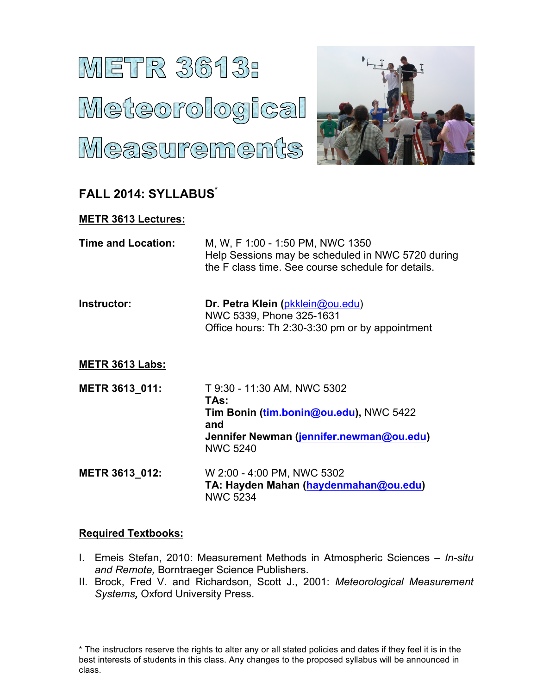# **METR 3613:** Meteorological Measurements



# **FALL 2014: SYLLABUS\***

## **METR 3613 Lectures:**

| Time and Location: | M, W, F 1:00 - 1:50 PM, NWC 1350                   |
|--------------------|----------------------------------------------------|
|                    | Help Sessions may be scheduled in NWC 5720 during  |
|                    | the F class time. See course schedule for details. |

| Instructor: | Dr. Petra Klein (pkklein@ou.edu)                |
|-------------|-------------------------------------------------|
|             | NWC 5339, Phone 325-1631                        |
|             | Office hours: Th 2:30-3:30 pm or by appointment |

### **METR 3613 Labs:**

| METR 3613 011:        | T 9:30 - 11:30 AM, NWC 5302<br>TAs:                                                                          |
|-----------------------|--------------------------------------------------------------------------------------------------------------|
|                       | Tim Bonin (tim.bonin@ou.edu), NWC 5422<br>and<br>Jennifer Newman (jennifer.newman@ou.edu)<br><b>NWC 5240</b> |
| <b>METR 3613 012:</b> | W 2:00 - 4:00 PM, NWC 5302<br>TA: Hayden Mahan (haydenmahan@ou.edu)                                          |

NWC 5234

#### **Required Textbooks:**

- I. Emeis Stefan, 2010: Measurement Methods in Atmospheric Sciences *In-situ and Remote,* Borntraeger Science Publishers.
- II. Brock, Fred V. and Richardson, Scott J., 2001: *Meteorological Measurement Systems,* Oxford University Press.

\* The instructors reserve the rights to alter any or all stated policies and dates if they feel it is in the best interests of students in this class. Any changes to the proposed syllabus will be announced in class.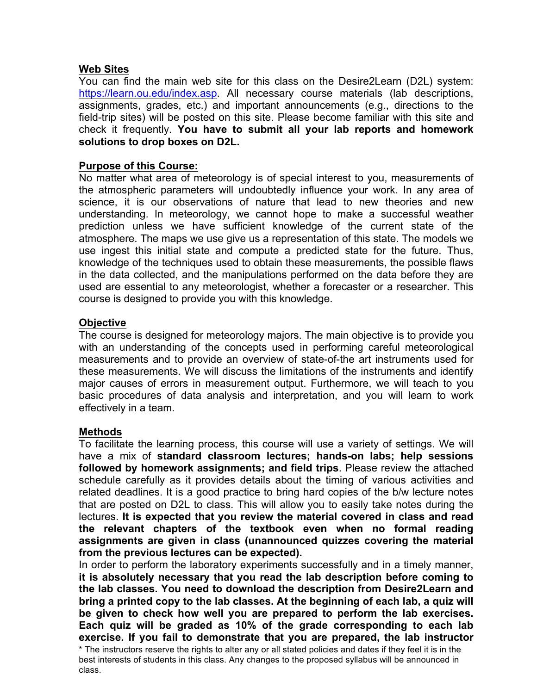#### **Web Sites**

You can find the main web site for this class on the Desire2Learn (D2L) system: https://learn.ou.edu/index.asp. All necessary course materials (lab descriptions, assignments, grades, etc.) and important announcements (e.g., directions to the field-trip sites) will be posted on this site. Please become familiar with this site and check it frequently. **You have to submit all your lab reports and homework solutions to drop boxes on D2L.**

#### **Purpose of this Course:**

No matter what area of meteorology is of special interest to you, measurements of the atmospheric parameters will undoubtedly influence your work. In any area of science, it is our observations of nature that lead to new theories and new understanding. In meteorology, we cannot hope to make a successful weather prediction unless we have sufficient knowledge of the current state of the atmosphere. The maps we use give us a representation of this state. The models we use ingest this initial state and compute a predicted state for the future. Thus, knowledge of the techniques used to obtain these measurements, the possible flaws in the data collected, and the manipulations performed on the data before they are used are essential to any meteorologist, whether a forecaster or a researcher. This course is designed to provide you with this knowledge.

#### **Objective**

The course is designed for meteorology majors. The main objective is to provide you with an understanding of the concepts used in performing careful meteorological measurements and to provide an overview of state-of-the art instruments used for these measurements. We will discuss the limitations of the instruments and identify major causes of errors in measurement output. Furthermore, we will teach to you basic procedures of data analysis and interpretation, and you will learn to work effectively in a team.

#### **Methods**

To facilitate the learning process, this course will use a variety of settings. We will have a mix of **standard classroom lectures; hands-on labs; help sessions followed by homework assignments; and field trips**. Please review the attached schedule carefully as it provides details about the timing of various activities and related deadlines. It is a good practice to bring hard copies of the b/w lecture notes that are posted on D2L to class. This will allow you to easily take notes during the lectures. **It is expected that you review the material covered in class and read the relevant chapters of the textbook even when no formal reading assignments are given in class (unannounced quizzes covering the material from the previous lectures can be expected).**

In order to perform the laboratory experiments successfully and in a timely manner, **it is absolutely necessary that you read the lab description before coming to the lab classes. You need to download the description from Desire2Learn and bring a printed copy to the lab classes. At the beginning of each lab, a quiz will be given to check how well you are prepared to perform the lab exercises. Each quiz will be graded as 10% of the grade corresponding to each lab exercise. If you fail to demonstrate that you are prepared, the lab instructor** 

\* The instructors reserve the rights to alter any or all stated policies and dates if they feel it is in the best interests of students in this class. Any changes to the proposed syllabus will be announced in class.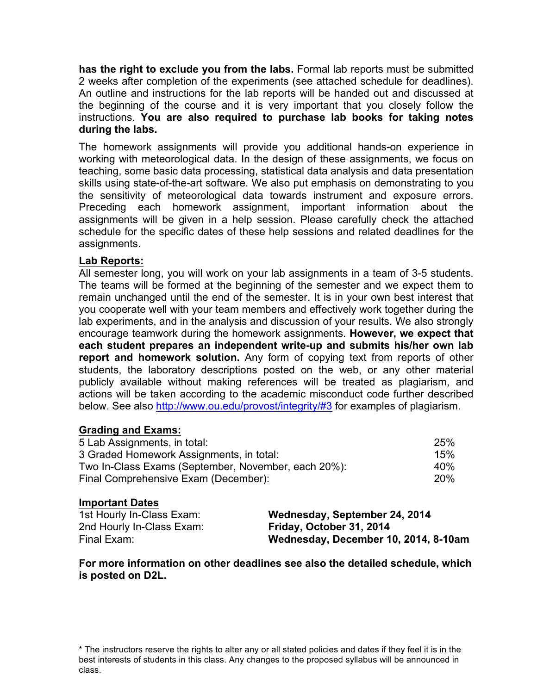**has the right to exclude you from the labs.** Formal lab reports must be submitted 2 weeks after completion of the experiments (see attached schedule for deadlines). An outline and instructions for the lab reports will be handed out and discussed at the beginning of the course and it is very important that you closely follow the instructions. **You are also required to purchase lab books for taking notes during the labs.**

The homework assignments will provide you additional hands-on experience in working with meteorological data. In the design of these assignments, we focus on teaching, some basic data processing, statistical data analysis and data presentation skills using state-of-the-art software. We also put emphasis on demonstrating to you the sensitivity of meteorological data towards instrument and exposure errors. Preceding each homework assignment, important information about the assignments will be given in a help session. Please carefully check the attached schedule for the specific dates of these help sessions and related deadlines for the assignments.

#### **Lab Reports:**

All semester long, you will work on your lab assignments in a team of 3-5 students. The teams will be formed at the beginning of the semester and we expect them to remain unchanged until the end of the semester. It is in your own best interest that you cooperate well with your team members and effectively work together during the lab experiments, and in the analysis and discussion of your results. We also strongly encourage teamwork during the homework assignments. **However, we expect that each student prepares an independent write-up and submits his/her own lab report and homework solution.** Any form of copying text from reports of other students, the laboratory descriptions posted on the web, or any other material publicly available without making references will be treated as plagiarism, and actions will be taken according to the academic misconduct code further described below. See also http://www.ou.edu/provost/integrity/#3 for examples of plagiarism.

#### **Grading and Exams:**

| 5 Lab Assignments, in total:                        | <b>25%</b> |
|-----------------------------------------------------|------------|
| 3 Graded Homework Assignments, in total:            | 15%        |
| Two In-Class Exams (September, November, each 20%): | 40%        |
| Final Comprehensive Exam (December):                | 20%        |

#### **Important Dates**

| 1st Hourly In-Class Exam: | Wednesday, September 24, 2014        |
|---------------------------|--------------------------------------|
| 2nd Hourly In-Class Exam: | Friday, October 31, 2014             |
| Final Exam:               | Wednesday, December 10, 2014, 8-10am |

**For more information on other deadlines see also the detailed schedule, which is posted on D2L.**

<sup>\*</sup> The instructors reserve the rights to alter any or all stated policies and dates if they feel it is in the best interests of students in this class. Any changes to the proposed syllabus will be announced in class.